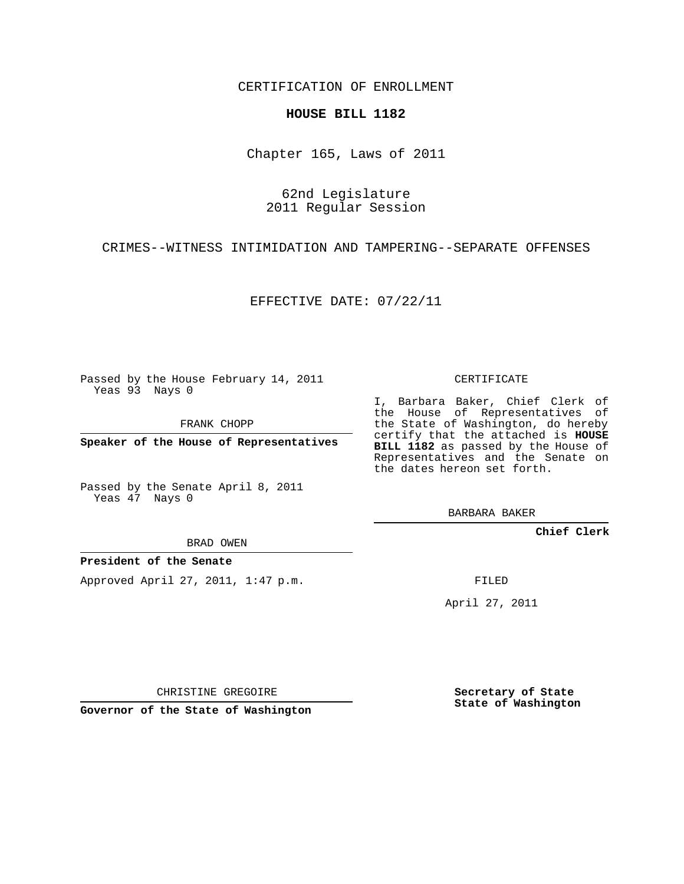CERTIFICATION OF ENROLLMENT

## **HOUSE BILL 1182**

Chapter 165, Laws of 2011

62nd Legislature 2011 Regular Session

CRIMES--WITNESS INTIMIDATION AND TAMPERING--SEPARATE OFFENSES

EFFECTIVE DATE: 07/22/11

Passed by the House February 14, 2011 Yeas 93 Nays 0

FRANK CHOPP

**Speaker of the House of Representatives**

Passed by the Senate April 8, 2011 Yeas 47 Nays 0

BRAD OWEN

**President of the Senate**

Approved April 27, 2011, 1:47 p.m.

CERTIFICATE

I, Barbara Baker, Chief Clerk of the House of Representatives of the State of Washington, do hereby certify that the attached is **HOUSE BILL 1182** as passed by the House of Representatives and the Senate on the dates hereon set forth.

BARBARA BAKER

**Chief Clerk**

FILED

April 27, 2011

CHRISTINE GREGOIRE

**Governor of the State of Washington**

**Secretary of State State of Washington**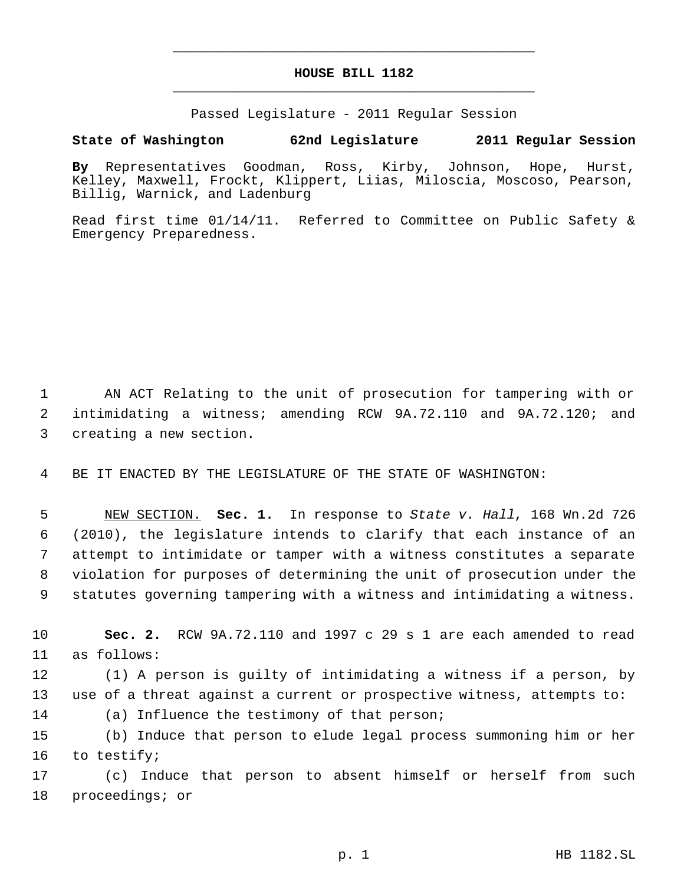## **HOUSE BILL 1182** \_\_\_\_\_\_\_\_\_\_\_\_\_\_\_\_\_\_\_\_\_\_\_\_\_\_\_\_\_\_\_\_\_\_\_\_\_\_\_\_\_\_\_\_\_

\_\_\_\_\_\_\_\_\_\_\_\_\_\_\_\_\_\_\_\_\_\_\_\_\_\_\_\_\_\_\_\_\_\_\_\_\_\_\_\_\_\_\_\_\_

Passed Legislature - 2011 Regular Session

## **State of Washington 62nd Legislature 2011 Regular Session**

**By** Representatives Goodman, Ross, Kirby, Johnson, Hope, Hurst, Kelley, Maxwell, Frockt, Klippert, Liias, Miloscia, Moscoso, Pearson, Billig, Warnick, and Ladenburg

Read first time 01/14/11. Referred to Committee on Public Safety & Emergency Preparedness.

 AN ACT Relating to the unit of prosecution for tampering with or intimidating a witness; amending RCW 9A.72.110 and 9A.72.120; and creating a new section.

BE IT ENACTED BY THE LEGISLATURE OF THE STATE OF WASHINGTON:

 NEW SECTION. **Sec. 1.** In response to *State v. Hall*, 168 Wn.2d 726 (2010), the legislature intends to clarify that each instance of an attempt to intimidate or tamper with a witness constitutes a separate violation for purposes of determining the unit of prosecution under the statutes governing tampering with a witness and intimidating a witness.

 **Sec. 2.** RCW 9A.72.110 and 1997 c 29 s 1 are each amended to read as follows:

 (1) A person is guilty of intimidating a witness if a person, by use of a threat against a current or prospective witness, attempts to:

(a) Influence the testimony of that person;

 (b) Induce that person to elude legal process summoning him or her to testify;

 (c) Induce that person to absent himself or herself from such proceedings; or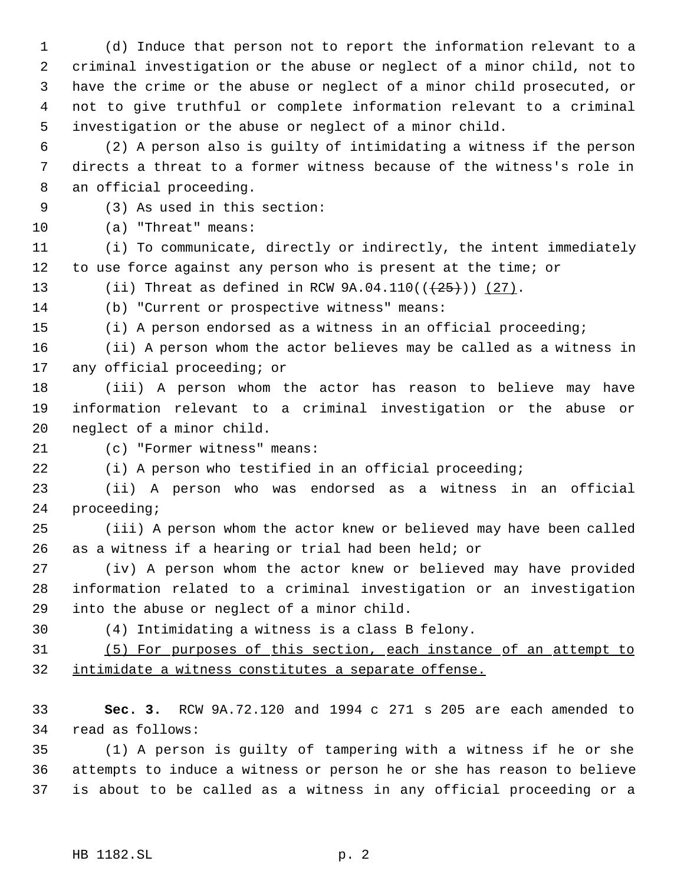(d) Induce that person not to report the information relevant to a criminal investigation or the abuse or neglect of a minor child, not to have the crime or the abuse or neglect of a minor child prosecuted, or not to give truthful or complete information relevant to a criminal investigation or the abuse or neglect of a minor child.

 (2) A person also is guilty of intimidating a witness if the person directs a threat to a former witness because of the witness's role in an official proceeding.

(3) As used in this section:

(a) "Threat" means:

 (i) To communicate, directly or indirectly, the intent immediately to use force against any person who is present at the time; or

13 (ii) Threat as defined in RCW  $9A.04.110((+25))$   $(27)$ .

(b) "Current or prospective witness" means:

(i) A person endorsed as a witness in an official proceeding;

 (ii) A person whom the actor believes may be called as a witness in any official proceeding; or

 (iii) A person whom the actor has reason to believe may have information relevant to a criminal investigation or the abuse or neglect of a minor child.

(c) "Former witness" means:

(i) A person who testified in an official proceeding;

 (ii) A person who was endorsed as a witness in an official proceeding;

 (iii) A person whom the actor knew or believed may have been called as a witness if a hearing or trial had been held; or

 (iv) A person whom the actor knew or believed may have provided information related to a criminal investigation or an investigation into the abuse or neglect of a minor child.

(4) Intimidating a witness is a class B felony.

 (5) For purposes of this section, each instance of an attempt to intimidate a witness constitutes a separate offense.

 **Sec. 3.** RCW 9A.72.120 and 1994 c 271 s 205 are each amended to read as follows:

 (1) A person is guilty of tampering with a witness if he or she attempts to induce a witness or person he or she has reason to believe is about to be called as a witness in any official proceeding or a